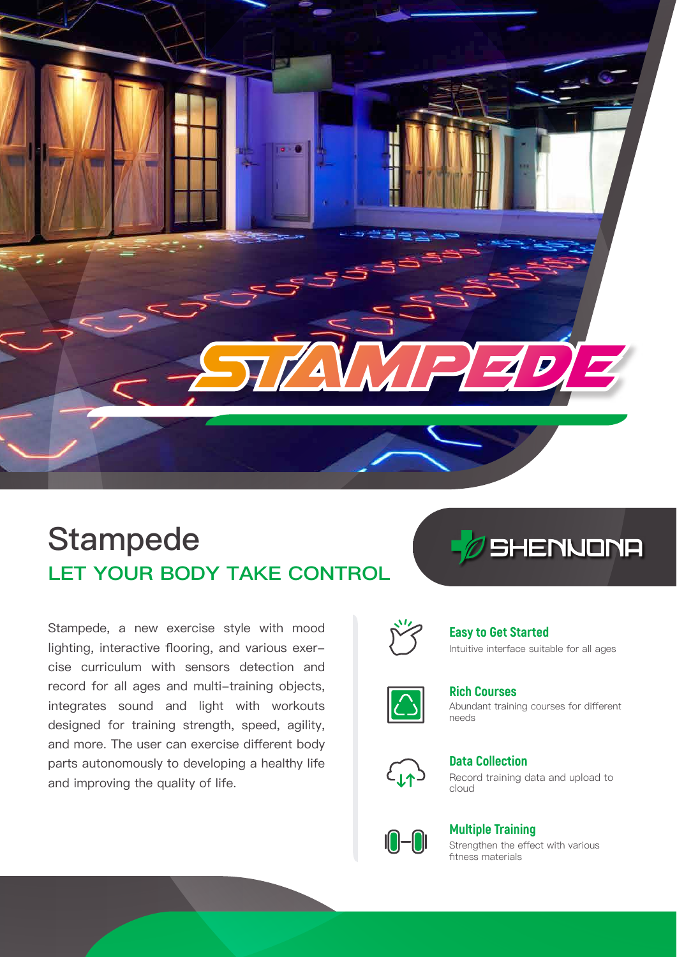

# **LET YOUR BODY TAKE CONTROL** Stampede

Stampede, a new exercise style with mood lighting, interactive flooring, and various exercise curriculum with sensors detection and record for all ages and multi-training objects, integrates sound and light with workouts designed for training strength, speed, agility, and more. The user can exercise different body parts autonomously to developing a healthy life and improving the quality of life.





### **Easy to Get Started**

Intuitive interface suitable for all ages



Abundant training courses for different needs **Rich Courses**



Record training data and upload to cloud **Data Collection**



### **Multiple Training**

Strengthen the effect with various fitness materials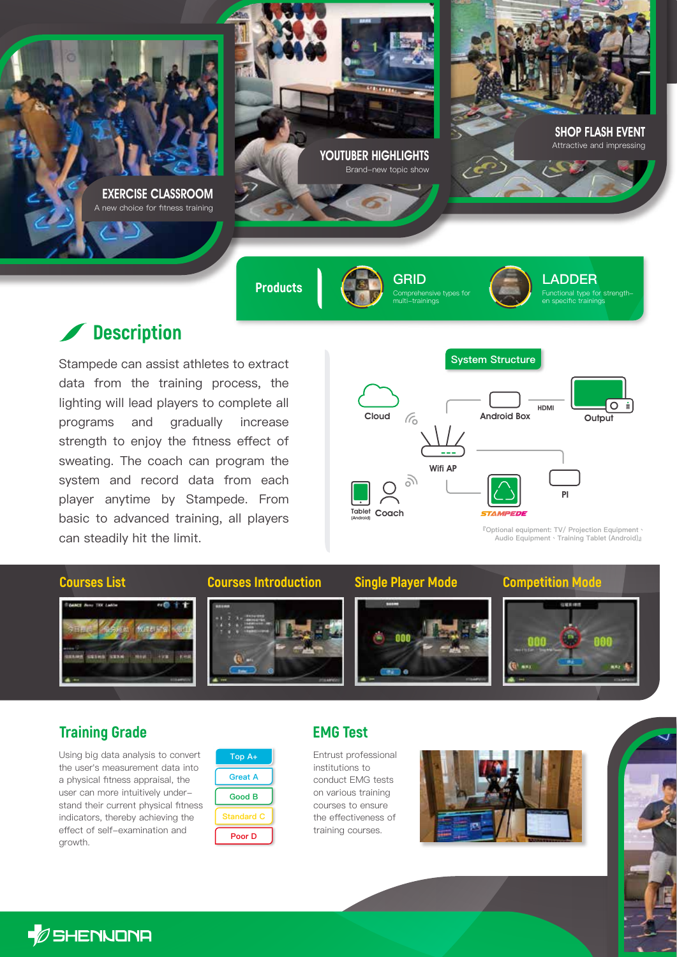EXERCISE CLASSROOM new choice for fitness training



YOUTUBER HIGHLIGHTS Brand-new topic show

multi-trainings



**LADDER**

ctional type for strengthen specific trainings

SHOP FLASH EVENT Attractive and impressing

## **Description**

Stampede can assist athletes to extract data from the training process, the lighting will lead players to complete all programs and gradually increase strength to enjoy the fitness effect of sweating. The coach can program the system and record data from each player anytime by Stampede. From basic to advanced training, all players can steadily hit the limit.



**System Structure**

**『Optional equipment: TV/ Projection Equipment、 Audio Equipment、Training Tablet (Android)』**



### **Training Grade EMG Test**

Using big data analysis to convert the user's measurement data into a physical fitness appraisal, the user can more intuitively understand their current physical fitness indicators, thereby achieving the effect of self-examination and growth.



Entrust professional institutions to conduct EMG tests on various training courses to ensure the effectiveness of training courses.





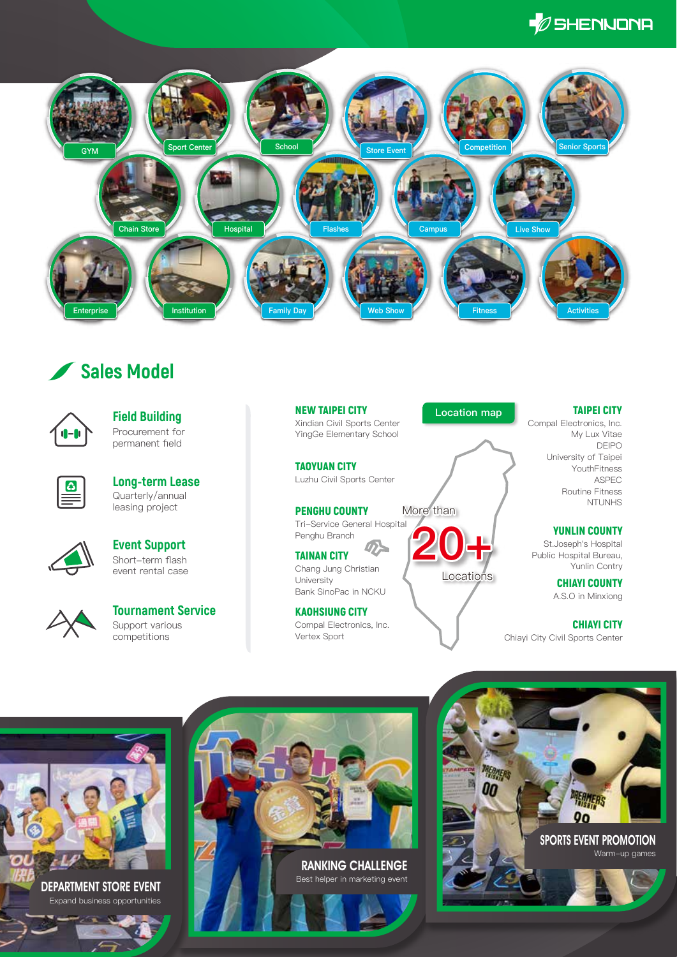



## **Sales Model**



Procurement for permanent field **Field Building**



Quarterly/annual leasing project **Long-term Lease**



Short-term flash event rental case **Event Support**



Support various competitions **Tournament Service** NEW TAIPEI CITY Xindian Civil Sports Center YingGe Elementary School

TAOYUAN CITY Luzhu Civil Sports Center

PENGHU COUNTY Tri-Service General Hospital Penghu Branch More than

TAINAN CITY Chang Jung Christian University Bank SinoPac in NCKU

KAOHSIUNG CITY Compal Electronics, Inc. Vertex Sport

**Location map**

**Locations** 

**20+**

Compal Electronics, Inc. My Lux Vitae DEIPO University of Taipei YouthFitness ASPEC Routine Fitness NTUNHS

TAIPEI CITY

### YUNLIN COUNTY

St.Joseph's Hospital Public Hospital Bureau, Yunlin Contry

> CHIAYI COUNTY A.S.O in Minxiong

CHIAYI CITY Chiayi City Civil Sports Center